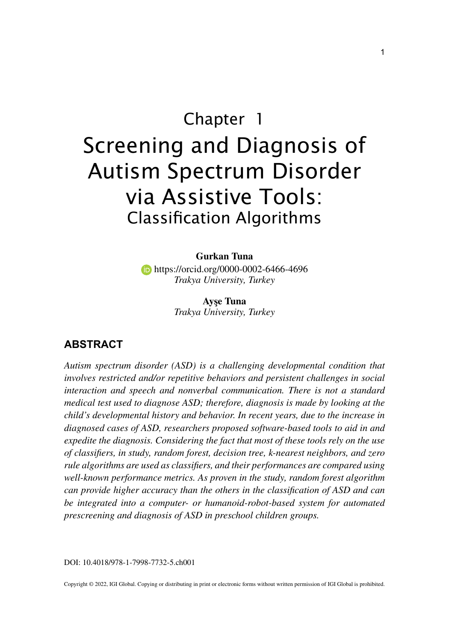# Chapter 1 Screening and Diagnosis of Autism Spectrum Disorder via Assistive Tools: Classification Algorithms

**Gurkan Tuna** https://orcid.org/0000-0002-6466-4696 *Trakya University, Turkey*

> **Ayşe Tuna** *Trakya University, Turkey*

#### **ABSTRACT**

*Autism spectrum disorder (ASD) is a challenging developmental condition that involves restricted and/or repetitive behaviors and persistent challenges in social interaction and speech and nonverbal communication. There is not a standard medical test used to diagnose ASD; therefore, diagnosis is made by looking at the child's developmental history and behavior. In recent years, due to the increase in diagnosed cases of ASD, researchers proposed software-based tools to aid in and expedite the diagnosis. Considering the fact that most of these tools rely on the use of classifiers, in study, random forest, decision tree, k-nearest neighbors, and zero rule algorithms are used as classifiers, and their performances are compared using well-known performance metrics. As proven in the study, random forest algorithm can provide higher accuracy than the others in the classification of ASD and can be integrated into a computer- or humanoid-robot-based system for automated prescreening and diagnosis of ASD in preschool children groups.*

DOI: 10.4018/978-1-7998-7732-5.ch001

Copyright © 2022, IGI Global. Copying or distributing in print or electronic forms without written permission of IGI Global is prohibited.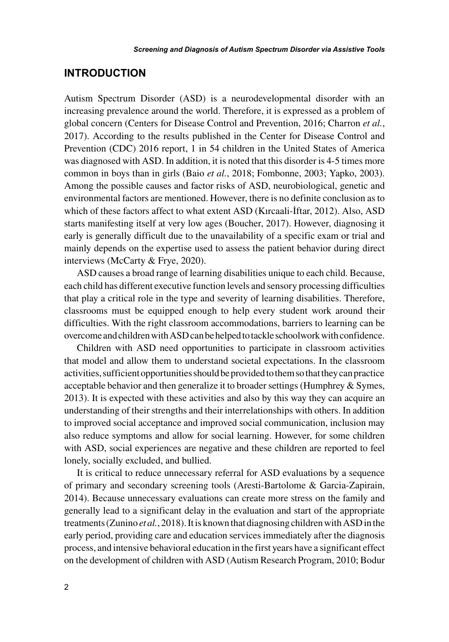#### **INTRODUCTION**

Autism Spectrum Disorder (ASD) is a neurodevelopmental disorder with an increasing prevalence around the world. Therefore, it is expressed as a problem of global concern (Centers for Disease Control and Prevention, 2016; Charron *et al.*, 2017). According to the results published in the Center for Disease Control and Prevention (CDC) 2016 report, 1 in 54 children in the United States of America was diagnosed with ASD. In addition, it is noted that this disorder is 4-5 times more common in boys than in girls (Baio *et al.*, 2018; Fombonne, 2003; Yapko, 2003). Among the possible causes and factor risks of ASD, neurobiological, genetic and environmental factors are mentioned. However, there is no definite conclusion as to which of these factors affect to what extent ASD (Kırcaali-İftar, 2012). Also, ASD starts manifesting itself at very low ages (Boucher, 2017). However, diagnosing it early is generally difficult due to the unavailability of a specific exam or trial and mainly depends on the expertise used to assess the patient behavior during direct interviews (McCarty & Frye, 2020).

ASD causes a broad range of learning disabilities unique to each child. Because, each child has different executive function levels and sensory processing difficulties that play a critical role in the type and severity of learning disabilities. Therefore, classrooms must be equipped enough to help every student work around their difficulties. With the right classroom accommodations, barriers to learning can be overcome and children with ASD can be helped to tackle schoolwork with confidence.

Children with ASD need opportunities to participate in classroom activities that model and allow them to understand societal expectations. In the classroom activities, sufficient opportunities should be provided to them so that they can practice acceptable behavior and then generalize it to broader settings (Humphrey & Symes, 2013). It is expected with these activities and also by this way they can acquire an understanding of their strengths and their interrelationships with others. In addition to improved social acceptance and improved social communication, inclusion may also reduce symptoms and allow for social learning. However, for some children with ASD, social experiences are negative and these children are reported to feel lonely, socially excluded, and bullied.

It is critical to reduce unnecessary referral for ASD evaluations by a sequence of primary and secondary screening tools (Aresti-Bartolome & Garcia-Zapirain, 2014). Because unnecessary evaluations can create more stress on the family and generally lead to a significant delay in the evaluation and start of the appropriate treatments (Zunino *et al.*, 2018). It is known that diagnosing children with ASD in the early period, providing care and education services immediately after the diagnosis process, and intensive behavioral education in the first years have a significant effect on the development of children with ASD (Autism Research Program, 2010; Bodur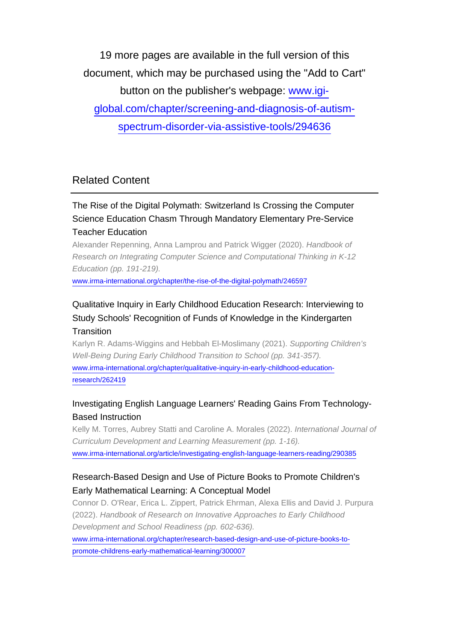19 more pages are available in the full version of this document, which may be purchased using the "Add to Cart"

button on the publisher's webpage: [www.igi-](http://www.igi-global.com/chapter/screening-and-diagnosis-of-autism-spectrum-disorder-via-assistive-tools/294636)

[global.com/chapter/screening-and-diagnosis-of-autism-](http://www.igi-global.com/chapter/screening-and-diagnosis-of-autism-spectrum-disorder-via-assistive-tools/294636)

[spectrum-disorder-via-assistive-tools/294636](http://www.igi-global.com/chapter/screening-and-diagnosis-of-autism-spectrum-disorder-via-assistive-tools/294636)

## Related Content

### The Rise of the Digital Polymath: Switzerland Is Crossing the Computer Science Education Chasm Through Mandatory Elementary Pre-Service Teacher Education

Alexander Repenning, Anna Lamprou and Patrick Wigger (2020). Handbook of Research on Integrating Computer Science and Computational Thinking in K-12 Education (pp. 191-219).

[www.irma-international.org/chapter/the-rise-of-the-digital-polymath/246597](http://www.irma-international.org/chapter/the-rise-of-the-digital-polymath/246597)

#### Qualitative Inquiry in Early Childhood Education Research: Interviewing to Study Schools' Recognition of Funds of Knowledge in the Kindergarten **Transition**

Karlyn R. Adams-Wiggins and Hebbah El-Moslimany (2021). Supporting Children's Well-Being During Early Childhood Transition to School (pp. 341-357). [www.irma-international.org/chapter/qualitative-inquiry-in-early-childhood-education](http://www.irma-international.org/chapter/qualitative-inquiry-in-early-childhood-education-research/262419)[research/262419](http://www.irma-international.org/chapter/qualitative-inquiry-in-early-childhood-education-research/262419)

#### Investigating English Language Learners' Reading Gains From Technology-Based Instruction

Kelly M. Torres, Aubrey Statti and Caroline A. Morales (2022). International Journal of Curriculum Development and Learning Measurement (pp. 1-16). [www.irma-international.org/article/investigating-english-language-learners-reading/290385](http://www.irma-international.org/article/investigating-english-language-learners-reading/290385)

#### Research-Based Design and Use of Picture Books to Promote Children's Early Mathematical Learning: A Conceptual Model

Connor D. O'Rear, Erica L. Zippert, Patrick Ehrman, Alexa Ellis and David J. Purpura (2022). Handbook of Research on Innovative Approaches to Early Childhood Development and School Readiness (pp. 602-636).

[www.irma-international.org/chapter/research-based-design-and-use-of-picture-books-to](http://www.irma-international.org/chapter/research-based-design-and-use-of-picture-books-to-promote-childrens-early-mathematical-learning/300007)[promote-childrens-early-mathematical-learning/300007](http://www.irma-international.org/chapter/research-based-design-and-use-of-picture-books-to-promote-childrens-early-mathematical-learning/300007)